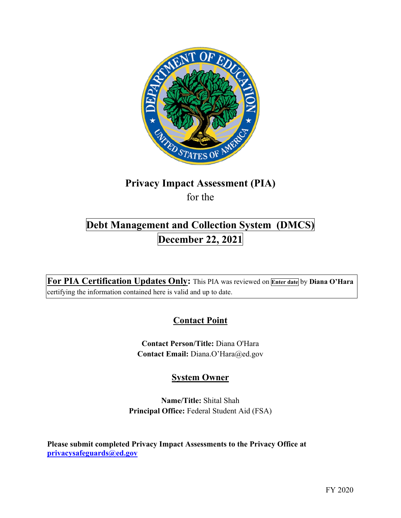

# **Privacy Impact Assessment (PIA)**

for the

# **Debt Management and Collection System (DMCS) December 22, 2021**

 **For PIA Certification Updates Only:** This PIA was reviewed on **Enter date** by **Diana O'Hara**  certifying the information contained here is valid and up to date.

# **Contact Point**

**Contact Person/Title:** Diana O'Hara **Contact Email:** [Diana.O'Hara@ed.gov](mailto:Diana.O�Hara@ed.gov)

## **System Owner**

**Name/Title:** Shital Shah **Principal Office:** Federal Student Aid (FSA)

 **Please submit completed Privacy Impact Assessments to the Privacy Office at [privacysafeguards@ed.gov](mailto:privacysafeguards@ed.gov)**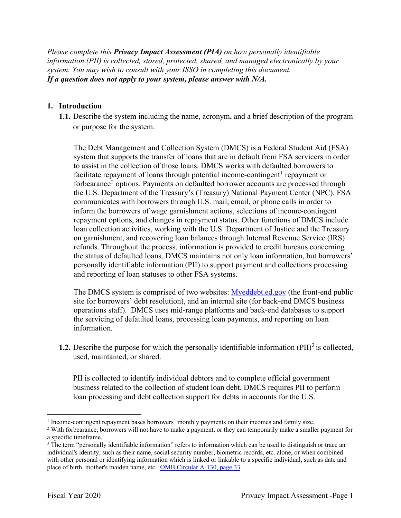*Please complete this Privacy Impact Assessment (PIA) on how personally identifiable information (PII) is collected, stored, protected, shared, and managed electronically by your system. You may wish to consult with your ISSO in completing this document. If a question does not apply to your system, please answer with N/A.* 

### **1. Introduction**

or purpose for the system. **1.1.** Describe the system including the name, acronym, and a brief description of the program

 to assist in the collection of those loans. DMCS works with defaulted borrowers to communicates with borrowers through U.S. mail, email, or phone calls in order to inform the borrowers of wage garnishment actions, selections of income-contingent repayment options, and changes in repayment status. Other functions of DMCS include loan collection activities, working with the U.S. Department of Justice and the Treasury The Debt Management and Collection System (DMCS) is a Federal Student Aid (FSA) system that supports the transfer of loans that are in default from FSA servicers in order facilitate repayment of loans through potential income-contingent<sup>1</sup> repayment or forbearance<sup>2</sup> options. Payments on defaulted borrower accounts are processed through the U.S. Department of the Treasury's (Treasury) National Payment Center (NPC). FSA on garnishment, and recovering loan balances through Internal Revenue Service (IRS) refunds. Throughout the process, information is provided to credit bureaus concerning the status of defaulted loans. DMCS maintains not only loan information, but borrowers' personally identifiable information (PII) to support payment and collections processing and reporting of loan statuses to other FSA systems.

The DMCS system is comprised of two websites: **Myeddebt.ed.gov** (the front-end public operations staff). DMCS uses mid-range platforms and back-end databases to support site for borrowers' debt resolution), and an internal site (for back-end DMCS business the servicing of defaulted loans, processing loan payments, and reporting on loan information.

 used, maintained, or shared. **1.2.** Describe the purpose for which the personally identifiable information (PII)<sup>3</sup> is collected,

 loan processing and debt collection support for debts in accounts for the U.S. PII is collected to identify individual debtors and to complete official government business related to the collection of student loan debt. DMCS requires PII to perform

<sup>&</sup>lt;sup>1</sup> Income-contingent repayment bases borrowers' monthly payments on their incomes and family size.

<sup>&</sup>lt;sup>1</sup> Income-contingent repayment bases borrowers' monthly payments on their incomes and family size.  $2^2$  With forbearance, borrowers will not have to make a payment, or they can temporarily make a smaller payment for

a specific timeframe.<br><sup>3</sup> The term "personally identifiable information" refers to information which can be used to distinguish or trace an individual's identity, such as their name, social security number, biometric records, etc. alone, or when combined with other personal or identifying information which is linked or linkable to a specific individual, such as date and place of birth, mother's maiden name, etc. **OMB Circular A-130, page 33**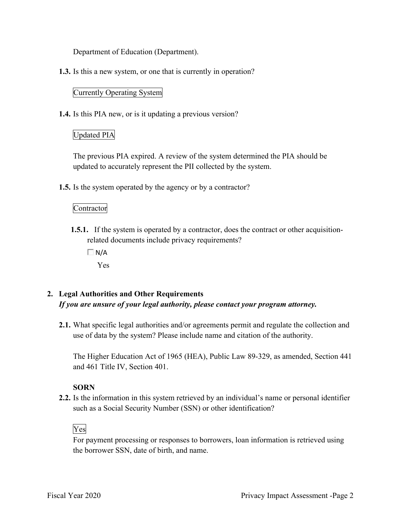Department of Education (Department).

**1.3.** Is this a new system, or one that is currently in operation?

### Currently Operating System

**1.4.** Is this PIA new, or is it updating a previous version?

### Updated PIA

 updated to accurately represent the PII collected by the system. The previous PIA expired. A review of the system determined the PIA should be

**1.5.** Is the system operated by the agency or by a contractor?

### Contractor

**1.5.1.** If the system is operated by a contractor, does the contract or other acquisitionrelated documents include privacy requirements?

 $\Box$  N/A

Yes

### **2. Legal Authorities and Other Requirements**  *If you are unsure of your legal authority, please contact your program attorney.*

 **2.1.** What specific legal authorities and/or agreements permit and regulate the collection and use of data by the system? Please include name and citation of the authority.

 The Higher Education Act of 1965 (HEA), Public Law 89-329, as amended, Section 441 and 461 Title IV, Section 401.

### **SORN**

 **2.2.** Is the information in this system retrieved by an individual's name or personal identifier such as a Social Security Number (SSN) or other identification?<br>Ves

 the borrower SSN, date of birth, and name. For payment processing or responses to borrowers, loan information is retrieved using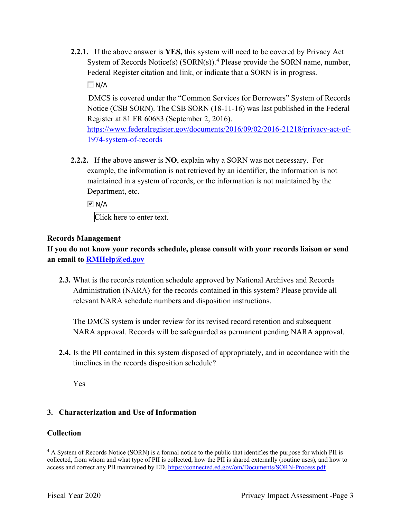**2.2.1.** If the above answer is **YES,** this system will need to be covered by Privacy Act System of Records Notice(s)  $(SORN(s))$ .<sup>4</sup> Please provide the SORN name, number, Federal Register citation and link, or indicate that a SORN is in progress.

 $\Box$  N/A

Register at 81 FR 60683 (September 2, 2016). DMCS is covered under the "Common Services for Borrowers" System of Records Notice (CSB SORN). The CSB SORN (18-11-16) was last published in the Federal

 1974-system-of-records [https://www.federalregister.gov/documents/2016/09/02/2016-21218/privacy-act-of-](https://www.federalregister.gov/documents/2016/09/02/2016-21218/privacy-act-of)

 **2.2.2.** If the above answer is **NO**, explain why a SORN was not necessary. For Department, etc. example, the information is not retrieved by an identifier, the information is not maintained in a system of records, or the information is not maintained by the

 $\overline{M}$  N/A

Click here to enter text.

### **Records Management**

 **an email to [RMHelp@ed.gov](mailto:RMHelp@ed.gov) If you do not know your records schedule, please consult with your records liaison or send** 

 Administration (NARA) for the records contained in this system? Please provide all **2.3.** What is the records retention schedule approved by National Archives and Records relevant NARA schedule numbers and disposition instructions.

The DMCS system is under review for its revised record retention and subsequent NARA approval. Records will be safeguarded as permanent pending NARA approval.

**2.4.** Is the PII contained in this system disposed of appropriately, and in accordance with the timelines in the records disposition schedule?

Yes

### **3. Characterization and Use of Information**

### **Collection**

<sup>&</sup>lt;sup>4</sup> A System of Records Notice (SORN) is a formal notice to the public that identifies the purpose for which PII is collected, from whom and what type of PII is collected, how the PII is shared externally (routine uses), and how to access and correct any PII maintained by ED. <https://connected.ed.gov/om/Documents/SORN-Process.pdf>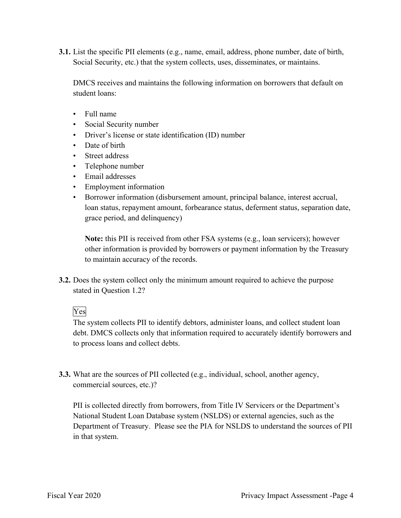**3.1.** List the specific PII elements (e.g., name, email, address, phone number, date of birth, Social Security, etc.) that the system collects, uses, disseminates, or maintains.

 DMCS receives and maintains the following information on borrowers that default on student loans:

- Full name
- Social Security number
- Driver's license or state identification (ID) number
- Date of birth
- Street address
- Telephone number
- Email addresses
- Employment information
- Borrower information (disbursement amount, principal balance, interest accrual, loan status, repayment amount, forbearance status, deferment status, separation date, grace period, and delinquency)

**Note:** this PII is received from other FSA systems (e.g., loan servicers); however other information is provided by borrowers or payment information by the Treasury to maintain accuracy of the records.

 **3.2.** Does the system collect only the minimum amount required to achieve the purpose stated in Question 1.2?<br>Yes

The system collects PII to identify debtors, administer loans, and collect student loan debt. DMCS collects only that information required to accurately identify borrowers and to process loans and collect debts.

**3.3.** What are the sources of PII collected (e.g., individual, school, another agency, commercial sources, etc.)?

 National Student Loan Database system (NSLDS) or external agencies, such as the Department of Treasury. Please see the PIA for NSLDS to understand the sources of PII PII is collected directly from borrowers, from Title IV Servicers or the Department's in that system.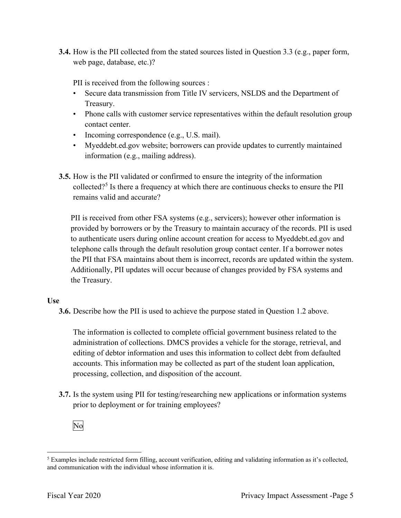**3.4.** How is the PII collected from the stated sources listed in Question 3.3 (e.g., paper form, web page, database, etc.)?

PII is received from the following sources :

- • Secure data transmission from Title IV servicers, NSLDS and the Department of Treasury.
- Treasury. Phone calls with customer service representatives within the default resolution group contact center.
- Incoming correspondence (e.g., U.S. mail).
- • [Myeddebt.ed.gov](https://Myeddebt.ed.gov) website; borrowers can provide updates to currently maintained information (e.g., mailing address).
- **3.5.** How is the PII validated or confirmed to ensure the integrity of the information collected?5 Is there a frequency at which there are continuous checks to ensure the PII remains valid and accurate?

 PII is received from other FSA systems (e.g., servicers); however other information is provided by borrowers or by the Treasury to maintain accuracy of the records. PII is used telephone calls through the default resolution group contact center. If a borrower notes the Treasury. to authenticate users during online account creation for access to [Myeddebt.ed.gov](https://Myeddebt.ed.gov) and the PII that FSA maintains about them is incorrect, records are updated within the system. Additionally, PII updates will occur because of changes provided by FSA systems and

### **Use**

**3.6.** Describe how the PII is used to achieve the purpose stated in Question 1.2 above.

 administration of collections. DMCS provides a vehicle for the storage, retrieval, and The information is collected to complete official government business related to the editing of debtor information and uses this information to collect debt from defaulted accounts. This information may be collected as part of the student loan application, processing, collection, and disposition of the account.

 **3.7.** Is the system using PII for testing/researching new applications or information systems prior to deployment or for training employees?<br>No



 $5$  Examples include restricted form filling, account verification, editing and validating information as it's collected, and communication with the individual whose information it is.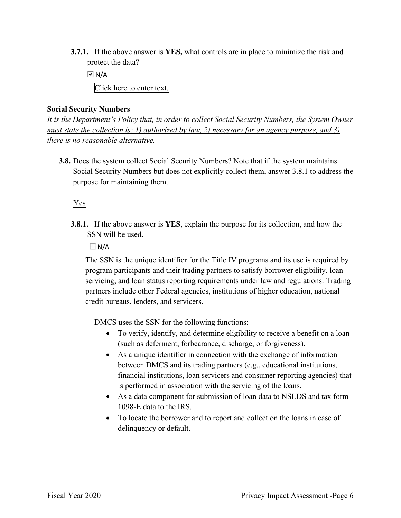**3.7.1.** If the above answer is **YES,** what controls are in place to minimize the risk and protect the data?

 Click here to enter text.  $\overline{M}$  N/A

### **Social Security Numbers**

*It is the Department's Policy that, in order to collect Social Security Numbers, the System Owner must state the collection is: 1) authorized by law, 2) necessary for an agency purpose, and 3) there is no reasonable alternative.* 

 **3.8.** Does the system collect Social Security Numbers? Note that if the system maintains Social Security Numbers but does not explicitly collect them, answer 3.8.1 to address the purpose for maintaining them.

### Yes

**3.8.1.** If the above answer is **YES**, explain the purpose for its collection, and how the SSN will be used.

 $\Box$  N/A

 partners include other Federal agencies, institutions of higher education, national The SSN is the unique identifier for the Title IV programs and its use is required by program participants and their trading partners to satisfy borrower eligibility, loan servicing, and loan status reporting requirements under law and regulations. Trading credit bureaus, lenders, and servicers.

DMCS uses the SSN for the following functions:

- • To verify, identify, and determine eligibility to receive a benefit on a loan (such as deferment, forbearance, discharge, or forgiveness).
- is performed in association with the servicing of the loans. • As a unique identifier in connection with the exchange of information between DMCS and its trading partners (e.g., educational institutions, financial institutions, loan servicers and consumer reporting agencies) that
- 1098-E data to the IRS. • As a data component for submission of loan data to NSLDS and tax form
- To locate the borrower and to report and collect on the loans in case of delinquency or default.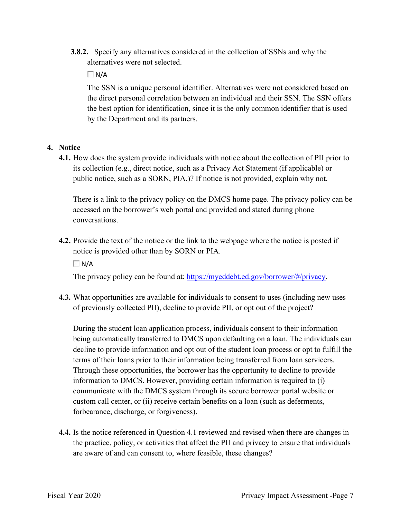**3.8.2.** Specify any alternatives considered in the collection of SSNs and why the alternatives were not selected.

 $\Box$  N/A

The SSN is a unique personal identifier. Alternatives were not considered based on the direct personal correlation between an individual and their SSN. The SSN offers the best option for identification, since it is the only common identifier that is used by the Department and its partners.

### **4. Notice**

 its collection (e.g., direct notice, such as a Privacy Act Statement (if applicable) or **4.1.** How does the system provide individuals with notice about the collection of PII prior to public notice, such as a SORN, PIA,)? If notice is not provided, explain why not.

 There is a link to the privacy policy on the DMCS home page. The privacy policy can be accessed on the borrower's web portal and provided and stated during phone conversations.

**4.2.** Provide the text of the notice or the link to the webpage where the notice is posted if notice is provided other than by SORN or PIA.

 $\Box$  N/A

The privacy policy can be found at:<https://myeddebt.ed.gov/borrower/#/privacy>.

 **4.3.** What opportunities are available for individuals to consent to uses (including new uses of previously collected PII), decline to provide PII, or opt out of the project?

 During the student loan application process, individuals consent to their information being automatically transferred to DMCS upon defaulting on a loan. The individuals can custom call center, or (ii) receive certain benefits on a loan (such as deferments, decline to provide information and opt out of the student loan process or opt to fulfill the terms of their loans prior to their information being transferred from loan servicers. Through these opportunities, the borrower has the opportunity to decline to provide information to DMCS. However, providing certain information is required to (i) communicate with the DMCS system through its secure borrower portal website or forbearance, discharge, or forgiveness).

**4.4.** Is the notice referenced in Question 4.1 reviewed and revised when there are changes in the practice, policy, or activities that affect the PII and privacy to ensure that individuals are aware of and can consent to, where feasible, these changes?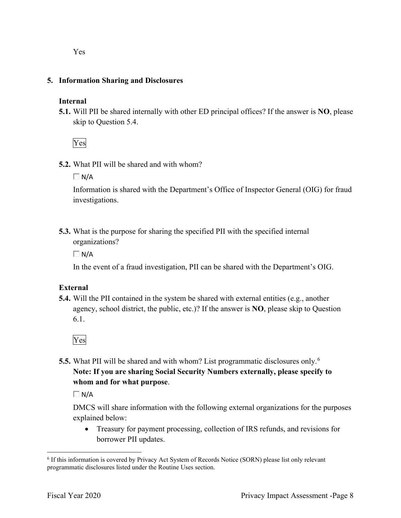### **5. Information Sharing and Disclosures**

### **Internal**

 **5.1.** Will PII be shared internally with other ED principal offices? If the answer is **NO**, please skip to Question 5.4.

Yes

**5.2.** What PII will be shared and with whom?

 $\Box$  N/A

Information is shared with the Department's Office of Inspector General (OIG) for fraud investigations.

 **5.3.** What is the purpose for sharing the specified PII with the specified internal organizations?

 $\Box$  N/A

In the event of a fraud investigation, PII can be shared with the Department's OIG.

### **External**

 **5.4.** Will the PII contained in the system be shared with external entities (e.g., another agency, school district, the public, etc.)? If the answer is **NO**, please skip to Question 6.1.

Yes

 **5.5.** What PII will be shared and with whom? List programmatic disclosures only. 6  **Note: If you are sharing Social Security Numbers externally, please specify to whom and for what purpose**.

 $\Box$  N/A

DMCS will share information with the following external organizations for the purposes explained below:

 borrower PII updates. • Treasury for payment processing, collection of IRS refunds, and revisions for

 $6$  If this information is covered by Privacy Act System of Records Notice (SORN) please list only relevant programmatic disclosures listed under the Routine Uses section.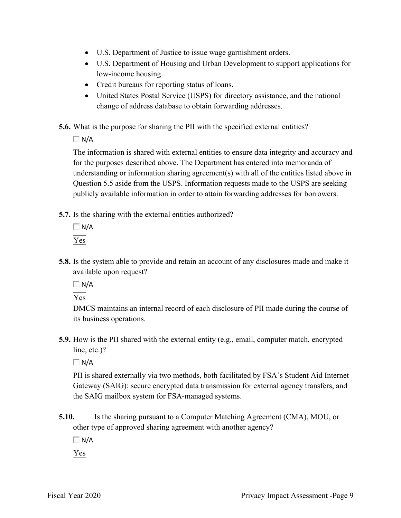- U.S. Department of Justice to issue wage garnishment orders.
- U.S. Department of Housing and Urban Development to support applications for low-income housing.
- Credit bureaus for reporting status of loans.
- • United States Postal Service (USPS) for directory assistance, and the national change of address database to obtain forwarding addresses.
- **5.6.** What is the purpose for sharing the PII with the specified external entities?

 $\Box$  N/A

 for the purposes described above. The Department has entered into memoranda of publicly available information in order to attain forwarding addresses for borrowers. The information is shared with external entities to ensure data integrity and accuracy and understanding or information sharing agreement(s) with all of the entities listed above in Question 5.5 aside from the USPS. Information requests made to the USPS are seeking

- **5.7.** Is the sharing with the external entities authorized?
	- $\Box$  N/A Yes
- **5.8.** Is the system able to provide and retain an account of any disclosures made and make it available upon request?

 $\Box$  N/A

Yes

DMCS maintains an internal record of each disclosure of PII made during the course of its business operations.

**5.9.** How is the PII shared with the external entity (e.g., email, computer match, encrypted line, etc.)?

 $\Box$  N/A

 the SAIG mailbox system for FSA-managed systems. PII is shared externally via two methods, both facilitated by FSA's Student Aid Internet Gateway (SAIG): secure encrypted data transmission for external agency transfers, and

**5.10.** Is the sharing pursuant to a Computer Matching Agreement (CMA), MOU, or other type of approved sharing agreement with another agency?

 $\Box$  N/A

Yes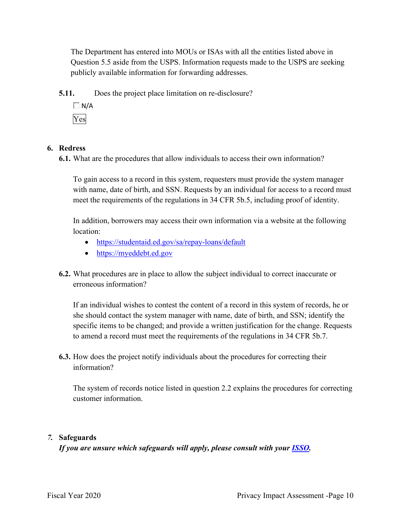The Department has entered into MOUs or ISAs with all the entities listed above in Question 5.5 aside from the USPS. Information requests made to the USPS are seeking publicly available information for forwarding addresses.

**5.11.** Does the project place limitation on re-disclosure?

 $\Box$  N/A Yes

### **6. Redress**

**6.1.** What are the procedures that allow individuals to access their own information?

To gain access to a record in this system, requesters must provide the system manager with name, date of birth, and SSN. Requests by an individual for access to a record must meet the requirements of the regulations in 34 CFR 5b.5, including proof of identity.

 In addition, borrowers may access their own information via a website at the following location:

- <https://studentaid.ed.gov/sa/repay-loans/default>
- https://myeddebt.ed.gov
- **6.2.** What procedures are in place to allow the subject individual to correct inaccurate or erroneous information?

 specific items to be changed; and provide a written justification for the change. Requests to amend a record must meet the requirements of the regulations in 34 CFR 5b.7. If an individual wishes to contest the content of a record in this system of records, he or she should contact the system manager with name, date of birth, and SSN; identify the

**6.3.** How does the project notify individuals about the procedures for correcting their information?

The system of records notice listed in question 2.2 explains the procedures for correcting customer information.

### *7.* **Safeguards**

*If you are unsure which safeguards will apply, please consult with your ISSO.*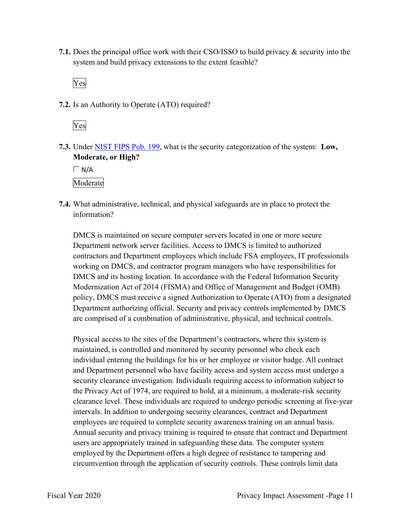**7.1.** Does the principal office work with their CSO/ISSO to build privacy & security into the system and build privacy extensions to the extent feasible?

Yes

**7.2.** Is an Authority to Operate (ATO) required?



 **7.3.** Under NIST FIPS Pub. 199, what is the security categorization of the system: **Low, Moderate, or High?** 

 $\Box$  N/A

Moderate

 **7.4.** What administrative, technical, and physical safeguards are in place to protect the information?

 contractors and Department employees which include FSA employees, IT professionals Modernization Act of 2014 (FISMA) and Office of Management and Budget (OMB) DMCS is maintained on secure computer servers located in one or more secure Department network server facilities. Access to DMCS is limited to authorized working on DMCS, and contractor program managers who have responsibilities for DMCS and its hosting location. In accordance with the Federal Information Security policy, DMCS must receive a signed Authorization to Operate (ATO) from a designated Department authorizing official. Security and privacy controls implemented by DMCS are comprised of a combination of administrative, physical, and technical controls.

 individual entering the buildings for his or her employee or visitor badge. All contract clearance level. These individuals are required to undergo periodic screening at five-year employed by the Department offers a high degree of resistance to tampering and Physical access to the sites of the Department's contractors, where this system is maintained, is controlled and monitored by security personnel who check each and Department personnel who have facility access and system access must undergo a security clearance investigation. Individuals requiring access to information subject to the Privacy Act of 1974, are required to hold, at a minimum, a moderate-risk security intervals. In addition to undergoing security clearances, contract and Department employees are required to complete security awareness training on an annual basis. Annual security and privacy training is required to ensure that contract and Department users are appropriately trained in safeguarding these data. The computer system circumvention through the application of security controls. These controls limit data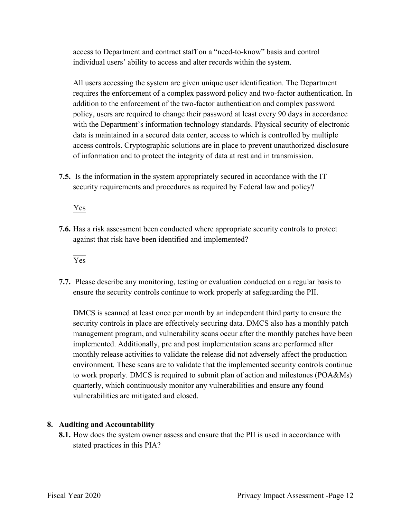individual users' ability to access and alter records within the system. access to Department and contract staff on a "need-to-know" basis and control

 All users accessing the system are given unique user identification. The Department addition to the enforcement of the two-factor authentication and complex password requires the enforcement of a complex password policy and two-factor authentication. In policy, users are required to change their password at least every 90 days in accordance with the Department's information technology standards. Physical security of electronic data is maintained in a secured data center, access to which is controlled by multiple access controls. Cryptographic solutions are in place to prevent unauthorized disclosure of information and to protect the integrity of data at rest and in transmission.

 **7.5.** Is the information in the system appropriately secured in accordance with the IT security requirements and procedures as required by Federal law and policy?

Yes

**7.6.** Has a risk assessment been conducted where appropriate security controls to protect against that risk have been identified and implemented?

Yes

 ensure the security controls continue to work properly at safeguarding the PII. **7.7.** Please describe any monitoring, testing or evaluation conducted on a regular basis to

 management program, and vulnerability scans occur after the monthly patches have been DMCS is scanned at least once per month by an independent third party to ensure the security controls in place are effectively securing data. DMCS also has a monthly patch implemented. Additionally, pre and post implementation scans are performed after monthly release activities to validate the release did not adversely affect the production environment. These scans are to validate that the implemented security controls continue to work properly. DMCS is required to submit plan of action and milestones (POA&Ms) quarterly, which continuously monitor any vulnerabilities and ensure any found vulnerabilities are mitigated and closed.

### **8. Auditing and Accountability**

 **8.1.** How does the system owner assess and ensure that the PII is used in accordance with stated practices in this PIA?